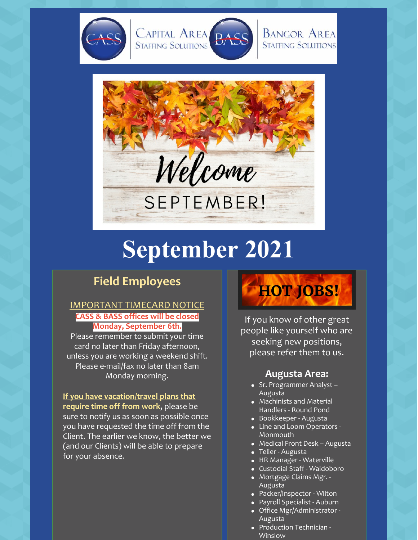



## **BANGOR AREA STAFFING SOLUTIONS**



# **September 2021**

## **Field Employees**

## IMPORTANT TIMECARD NOTICE **CASS & BASS offices will be closed Monday, September 6th.**

Please remember to submit your time card no later than Friday afternoon, unless you are working a weekend shift. Please e-mail/fax no later than 8am Monday morning.

**If you have vacation/travel plans that require time off from work,** please be sure to notify us as soon as possible once you have requested the time off from the Client. The earlier we know, the better we (and our Clients) will be able to prepare for your absence.

# **HOT JOBS!**

If you know of other great people like yourself who are seeking new positions, please refer them to us.

## **Augusta Area:**

- Sr. Programmer Analyst Augusta
- Machinists and Material Handlers - Round Pond
- Bookkeeper Augusta
- Line and Loom Operators -Monmouth
- Medical Front Desk Augusta
- Teller Augusta
- HR Manager Waterville
- Custodial Staff Waldoboro
- Mortgage Claims Mgr. Augusta
- Packer/Inspector Wilton
- Payroll Specialist Auburn
- Office Mgr/Administrator Augusta
- Production Technician -Winslow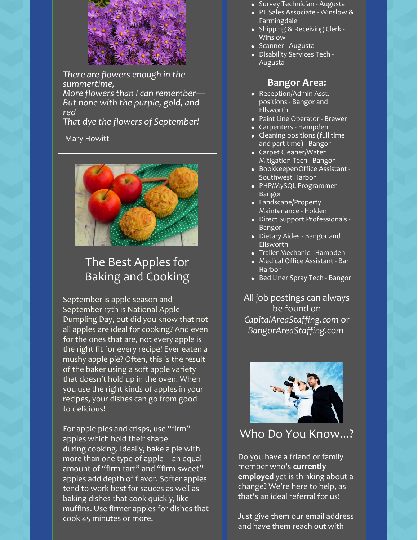

*There are flowers enough in the summertime, More flowers than I can remember— But none with the purple, gold, and red*

*That dye the flowers of September!*

### -Mary Howitt



# The Best Apples for Baking and Cooking

September is apple season and September 17th is National Apple Dumpling Day, but did you know that not all apples are ideal for cooking? And even for the ones that are, not every apple is the right fit for every recipe! Ever eaten a mushy apple pie? Often, this is the result of the baker using a soft apple variety that doesn't hold up in the oven. When you use the right kinds of apples in your recipes, your dishes can go from good to delicious!

For apple pies and crisps, use "firm" apples which hold their shape during cooking. Ideally, bake a pie with more than one type of apple—an equal amount of "firm-tart" and "firm-sweet" apples add depth of flavor. Softer apples tend to work best for sauces as well as baking dishes that cook quickly, like muffins. Use firmer apples for dishes that cook 45 minutes or more.

- Survey Technician Augusta
- PT Sales Associate Winslow & Farmingdale
- Shipping & Receiving Clerk -Winslow
- Scanner Augusta
- Disability Services Tech Augusta

### **Bangor Area:**

- Reception/Admin Asst. positions - Bangor and Ellsworth
- Paint Line Operator Brewer
- Carpenters Hampden
- Cleaning positions (full time and part time) - Bangor
- Carpet Cleaner/Water Mitigation Tech - Bangor
- Bookkeeper/Office Assistant Southwest Harbor
- PHP/MySQL Programmer Bangor
- Landscape/Property Maintenance - Holden
- Direct Support Professionals Bangor
- Dietary Aides Bangor and Ellsworth
- Trailer Mechanic Hampden
- Medical Office Assistant Bar Harbor
- Bed Liner Spray Tech Bangor

All job postings can always be found on *CapitalAreaStaffing.com* or *BangorAreaStaffing.com*



## Who Do You Know...?

Do you have a friend or family member who's **currently employed** yet is thinking about a change? We're here to help, as that's an ideal referral for us!

Just give them our email address and have them reach out with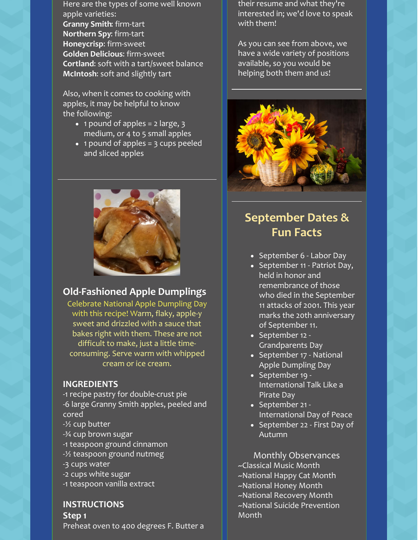Here are the types of some well known apple varieties: **Granny Smith**: firm-tart **Northern Spy**: firm-tart **Honeycrisp**: firm-sweet **Golden Delicious**: firm-sweet **Cortland**: soft with a tart/sweet balance **McIntosh**: soft and slightly tart

Also, when it comes to cooking with apples, it may be helpful to know the following:

- $\bullet$  1 pound of apples = 2 large, 3 medium, or 4 to 5 small apples
- $\bullet$  1 pound of apples = 3 cups peeled and sliced apples



## **Old-Fashioned Apple Dumplings**

Celebrate National Apple Dumpling Day with this recipe! Warm, flaky, apple-y sweet and drizzled with a sauce that bakes right with them. These are not difficult to make, just a little timeconsuming. Serve warm with whipped cream or ice cream.

## **INGREDIENTS**

- -1 recipe pastry for double-crust pie -6 large Granny Smith apples, peeled and cored
- -½ cup butter
- -¾ cup brown sugar
- -1 teaspoon ground cinnamon
- -½ teaspoon ground nutmeg
- -3 cups water
- -2 cups white sugar
- -1 teaspoon vanilla extract

**INSTRUCTIONS Step 1**

Preheat oven to 400 degrees F. Butter a

their resume and what they're interested in; we'd love to speak with them!

As you can see from above, we have a wide variety of positions available, so you would be helping both them and us!



## **September Dates & Fun Facts**

- September 6 Labor Day
- September 11 Patriot Day, held in honor and remembrance of those who died in the September 11 attacks of 2001. This year marks the 20th anniversary of September 11.
- September 12 -Grandparents Day
- September 17 National Apple Dumpling Day
- September 19 -International Talk Like a Pirate Day
- September 21 -International Day of Peace
- September 22 First Day of Autumn

Monthly Observances ~Classical Music Month ~National Happy Cat Month ~National Honey Month ~National Recovery Month ~National Suicide Prevention Month